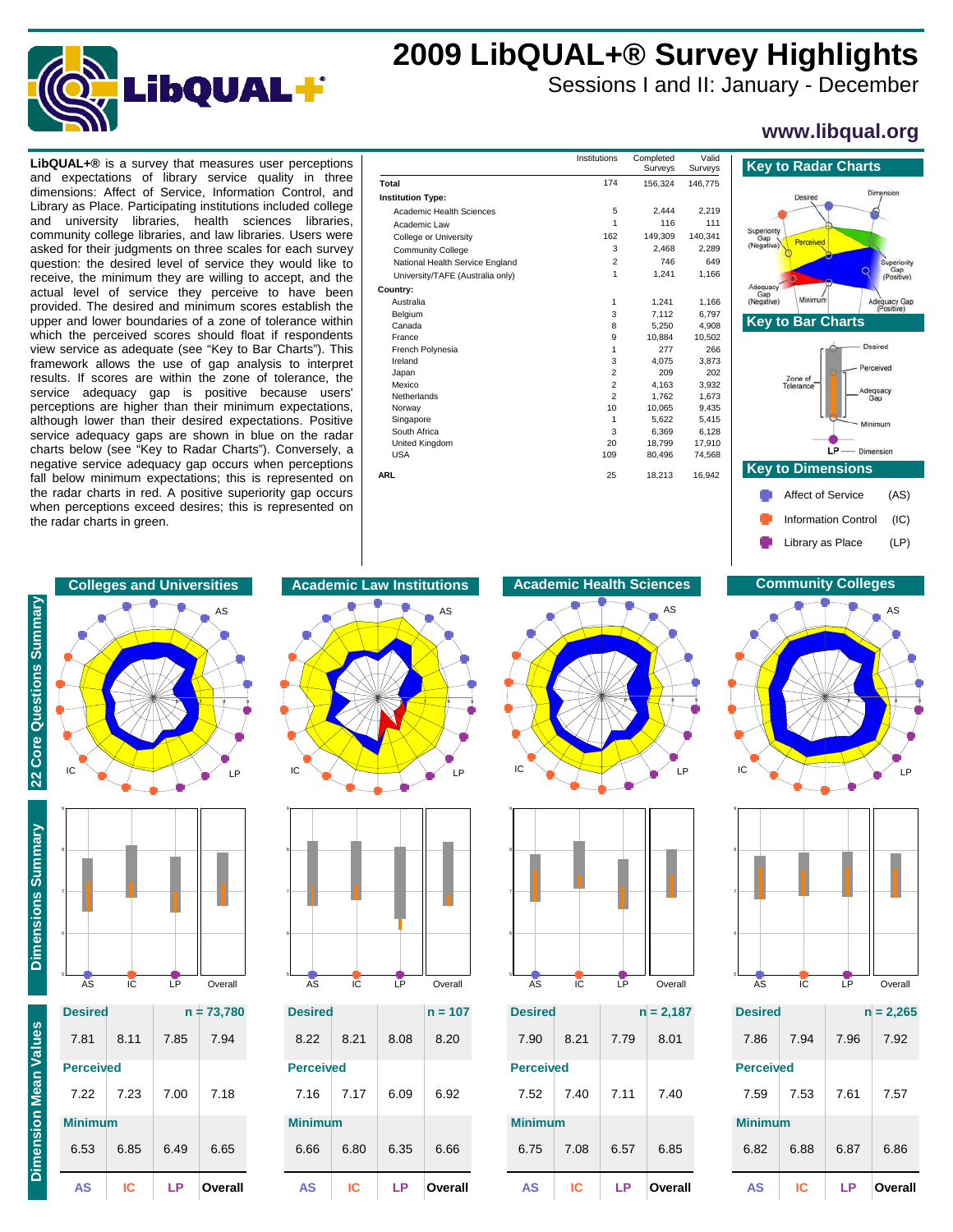

# **2009 LibQUAL+® Survey Highlights**

Sessions I and II: January - December

## **www.libqual.org**

dimensions: Affect of Service, Information Control, and Library as Place. Participating institutions included college and university libraries, health sciences libraries, community college libraries, and law libraries. Users were asked for their judgments on three scales for each survey question: the desired level of service they would like to receive, the minimum they are willing to accept, and the actual level of service they perceive to have been provided. The desired and minimum scores establish the upper and lower boundaries of a zone of tolerance within which the perceived scores should float if respondents view service as adequate (see "Key to Bar Charts"). This framework allows the use of gap analysis to interpret results. If scores are within the zone of tolerance, the service adequacy gap is positive because users' perceptions are higher than their minimum expectations, although lower than their desired expectations. Positive service adequacy gaps are shown in blue on the radar charts below (see "Key to Radar Charts"). Conversely, a negative service adequacy gap occurs when perceptions fall below minimum expectations; this is represented on the radar charts in red. A positive superiority gap occurs when perceptions exceed desires; this is represented on the radar charts in green.

| <b>LibQUAL+<math>\circledR</math></b> is a survey that measures user perceptions                                 |                                  | Institutions | Completed<br>Surveys | Valid<br>Surveys | <b>Key to Radar Charts</b>   |
|------------------------------------------------------------------------------------------------------------------|----------------------------------|--------------|----------------------|------------------|------------------------------|
| and expectations of library service quality in three                                                             | Total                            | 174          | 156,324              | 146,775          |                              |
| dimensions: Affect of Service, Information Control, and                                                          | <b>Institution Type:</b>         |              |                      |                  | Desired                      |
| Library as Place. Participating institutions included college                                                    | Academic Health Sciences         | 5            | 2.444                | 2,219            |                              |
| and university libraries, health sciences libraries,                                                             | Academic Law                     |              | 116                  | 111              | Superiority                  |
| community college libraries, and law libraries. Users were                                                       | College or University            | 162          | 149,309              | 140,341          | Gan<br>Perceived             |
| asked for their judgments on three scales for each survey                                                        | <b>Community College</b>         |              | 2.468                | 2,289            | (Negative)                   |
| question: the desired level of service they would like to                                                        | National Health Service England  |              | 746                  | 649              |                              |
| receive, the minimum they are willing to accept, and the                                                         | University/TAFE (Australia only) |              | 1,241                | 1,166            |                              |
| actual level of service they perceive to have been                                                               | Country:                         |              |                      |                  | Adequacy<br>Gap              |
| provided. The desired and minimum scores establish the                                                           | Australia                        |              | 1,241                | 1.166            | Minimum<br>(Negative)<br>Ade |
| upper and lower boundaries of a zone of tolerance within                                                         | Belgium                          |              | 7.112                | 6,797            | <b>Key to Bar Charts</b>     |
| which the perceived scores should float if respondents                                                           | Canada                           |              | 5,250                | 4,908            |                              |
|                                                                                                                  | France                           |              | 10,884               | 10,502           |                              |
| view service as adequate (see "Key to Bar Charts"). This                                                         | French Polynesia<br>Ireland      |              | 277<br>4,075         | 266<br>3,873     |                              |
| framework allows the use of gap analysis to interpret                                                            | Japan                            |              | 209                  | 202              |                              |
| results. If scores are within the zone of tolerance, the                                                         | Mexico                           |              | 4.163                | 3.932            | Zone of<br>Tolerance         |
| service adequacy gap is positive because users'                                                                  | Netherlands                      |              | 1.762                | 1.673            | Adequ<br>Gar                 |
| perceptions are higher than their minimum expectations,                                                          | Norway                           |              | 10.065               | 9.435            |                              |
| although lower than their desired expectations. Positive                                                         | Singapore                        |              | 5,622                | 5.415            |                              |
| service adequacy gaps are shown in blue on the radar                                                             | South Africa                     |              | 6,369                | 6.128            |                              |
|                                                                                                                  | United Kingdom                   | 20           | 18,799               | 17,910           |                              |
| charts below (see "Key to Radar Charts"). Conversely, a                                                          | <b>USA</b>                       | 109          | 80,496               | 74,568           | $LP$ - Dimens                |
| negative service adequacy gap occurs when perceptions<br>fall below minimum expectations; this is represented on | <b>ARL</b>                       | 25           | 18,213               | 16,942           | <b>Key to Dimensions</b>     |
| the radar charts in red. A positive superiority gap occurs                                                       |                                  |              |                      |                  | Affect of Service            |









| AS               | IC.  | ΙP           | Overall |  |
|------------------|------|--------------|---------|--|
| 6.53             | 6.85 | 6.49         | 6.65    |  |
| <b>Minimum</b>   |      |              |         |  |
| 7.22             | 7.23 | 7.00         | 7.18    |  |
| <b>Perceived</b> |      |              |         |  |
| 7.81             | 8.11 | 7.85         | 7.94    |  |
| <b>Desired</b>   |      | $n = 73,780$ |         |  |
|                  |      |              |         |  |





| <b>Desired</b>   |      |      | $n = 107$ |
|------------------|------|------|-----------|
| 8.22             | 8.21 | 8.08 | 8.20      |
| <b>Perceived</b> |      |      |           |
| 7.16             | 7.17 | 6.09 | 6.92      |
| <b>Minimum</b>   |      |      |           |
| 6.66             | 6.80 | 6.35 | 6.66      |
| AS               | IC   | LP   | Overall   |

### **Colleges and Universities Academic Law Institutions Academic Health Sciences Community Colleges**





| <b>Desired</b>   |      | $n = 2,187$ |         |  |
|------------------|------|-------------|---------|--|
| 7.90             | 8.21 | 7.79        | 8.01    |  |
| <b>Perceived</b> |      |             |         |  |
| 7.52             | 7.40 | 7.11        | 7.40    |  |
| Minimum          |      |             |         |  |
| 6.75             | 7.08 | 6.57        | 6.85    |  |
| ΑS               | IC   | ΙP          | Overall |  |



Library as Place (LP)





| <b>Desired</b>   |      |      | $n = 2,265$ |
|------------------|------|------|-------------|
| 7.86             | 7.94 | 7.96 | 7.92        |
| <b>Perceived</b> |      |      |             |
| 7.59             | 7.53 | 7.61 | 7.57        |
| <b>Minimum</b>   |      |      |             |
| 6.82             | 6.88 | 6.87 | 6.86        |
| AS               | ΙC   | LP   | Overall     |